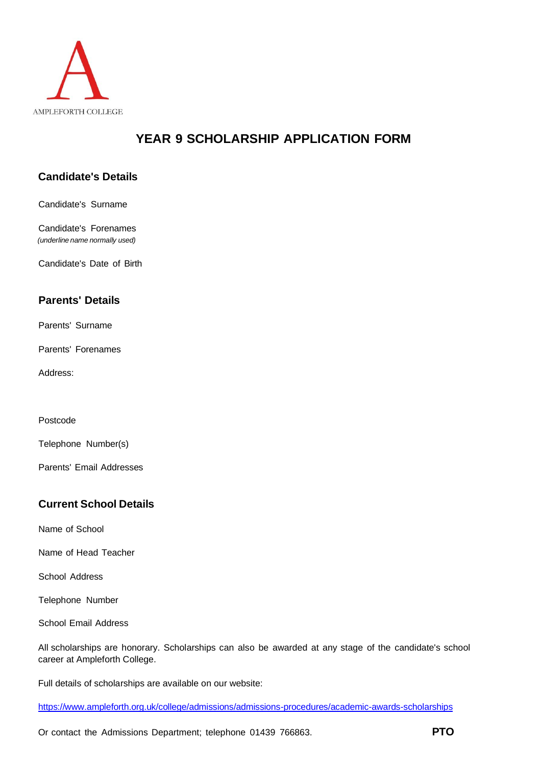

# **YEAR 9 SCHOLARSHIP APPLICATION FORM**

# **Candidate's Details**

Candidate's Surname

Candidate's Forenames *(underline name normally used)*

Candidate's Date of Birth

### **Parents' Details**

Parents' Surname

Parents' Forenames

Address:

Postcode

Telephone Number(s)

Parents' Email Addresses

## **Current School Details**

Name of School

Name of Head Teacher

School Address

Telephone Number

School Email Address

All scholarships are honorary. Scholarships can also be awarded at any stage of the candidate's school career at Ampleforth College.

Full details of scholarships are available on our website:

https:/[/www.ampleforth.org.uk/college/admissions/admissions-procedures/academic-awards-scholarships](http://www.ampleforth.org.uk/college/admissions/admissions-procedures/academic-awards-scholarships)